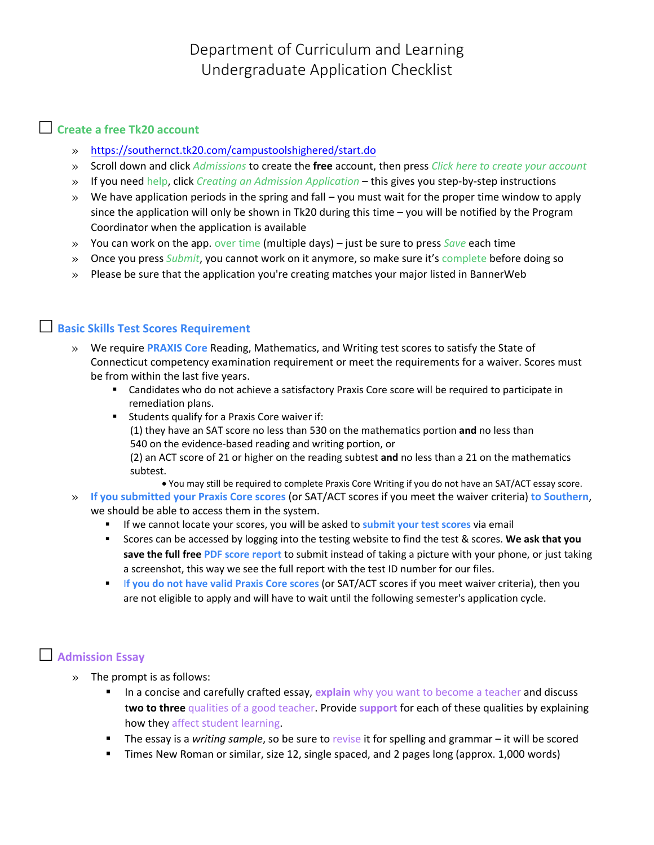Department of Curriculum and Learning Undergraduate Application Checklist

### **Create a free Tk20 account**

- » <https://southernct.tk20.com/campustoolshighered/start.do>
- » Scroll down and click *Admissions* to create the **free** account, then press *Click here to create your account*
- » If you need help, click *Creating an Admission Application* this gives you step-by-step instructions
- $\gg$  We have application periods in the spring and fall you must wait for the proper time window to apply since the application will only be shown in Tk20 during this time  $-$  you will be notified by the Program Coordinator when the application is available
- » You can work on the app. over time (multiple days) just be sure to press *Save* each time
- » Once you press *Submit*, you cannot work on it anymore, so make sure it's complete before doing so
- » Please be sure that the application you're creating matches your major listed in BannerWeb

### **Basic Skills Test Scores Requirement**

- » We require **PRAXIS Core** Reading, Mathematics, and Writing test scores to satisfy the State of Connecticut competency examination requirement or meet the requirements for a waiver. Scores must be from within the last five years.
	- Candidates who do not achieve a satisfactory Praxis Core score will be required to participate in remediation plans.
	- Students qualify for a Praxis Core waiver if: (1) they have an SAT score no less than 530 on the mathematics portion **and** no less than 540 on the evidence-based reading and writing portion, or (2) an ACT score of 21 or higher on the reading subtest **and** no less than a 21 on the mathematics subtest.
		- You may still be required to complete Praxis Core Writing if you do not have an SAT/ACT essay score.
- » **If you submitted your Praxis Core scores** (or SAT/ACT scores if you meet the waiver criteria) **to Southern**, we should be able to access them in the system.
	- If we cannot locate your scores, you will be asked to **submit your test scores** via email
	- Scores can be accessed by logging into the testing website to find the test & scores. **We ask that you save the full free PDF score report** to submit instead of taking a picture with your phone, or just taking a screenshot, this way we see the full report with the test ID number for our files.
	- I**f you do not have valid Praxis Core scores** (or SAT/ACT scores if you meet waiver criteria), then you are not eligible to apply and will have to wait until the following semester's application cycle.

#### **Admission Essay**

- » The prompt is as follows:
	- **In a concise and carefully crafted essay, explain** why you want to become a teacher and discuss t**wo to three** qualities of a good teacher. Provide **support** for each of these qualities by explaining how they affect student learning.
	- The essay is a *writing sample*, so be sure to revise it for spelling and grammar it will be scored
	- Times New Roman or similar, size 12, single spaced, and 2 pages long (approx. 1,000 words)